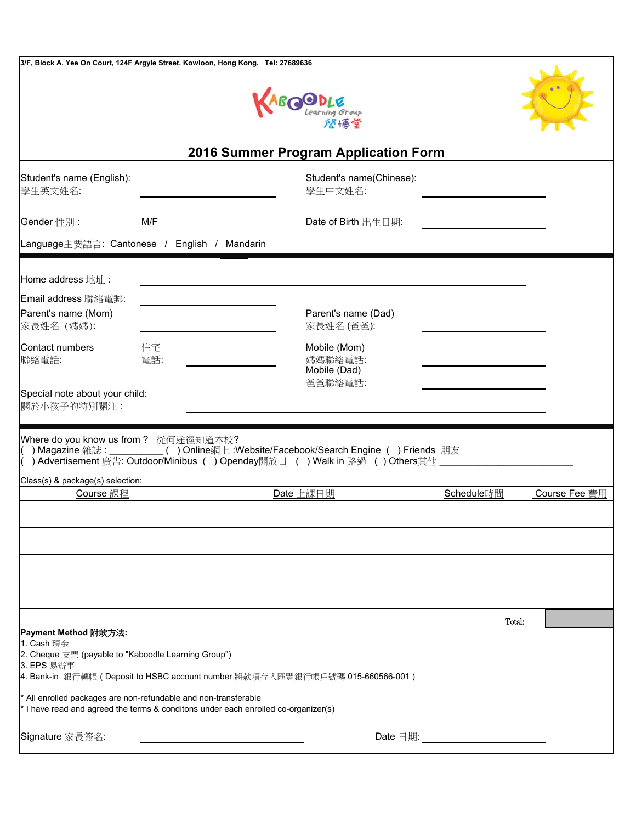| 3/F, Block A, Yee On Court, 124F Argyle Street. Kowloon, Hong Kong. Tel: 27689636                                                                 |           |           |                                                                                                                                                                                    |            |               |
|---------------------------------------------------------------------------------------------------------------------------------------------------|-----------|-----------|------------------------------------------------------------------------------------------------------------------------------------------------------------------------------------|------------|---------------|
|                                                                                                                                                   |           |           | <b>BOODLE</b><br>Learning Group                                                                                                                                                    |            |               |
| 2016 Summer Program Application Form                                                                                                              |           |           |                                                                                                                                                                                    |            |               |
| Student's name (English):<br>學生英文姓名:                                                                                                              |           |           | Student's name(Chinese):<br>學生中文姓名:                                                                                                                                                |            |               |
| Gender 性別:                                                                                                                                        | M/F       |           | Date of Birth 出生日期:                                                                                                                                                                |            |               |
| Language主要語言: Cantonese / English / Mandarin                                                                                                      |           |           |                                                                                                                                                                                    |            |               |
| Home address 地址:                                                                                                                                  |           |           |                                                                                                                                                                                    |            |               |
| Email address 聯絡電郵:<br>Parent's name (Mom)<br>家長姓名 (媽媽):                                                                                          |           |           | Parent's name (Dad)<br>家長姓名 (爸爸):                                                                                                                                                  |            |               |
| Contact numbers<br>聯絡電話:                                                                                                                          | 住宅<br>電話: |           | Mobile (Mom)<br>媽媽聯絡電話:<br>Mobile (Dad)                                                                                                                                            |            |               |
| Special note about your child:<br>關於小孩子的特別關注:                                                                                                     |           |           | 爸爸聯絡電話:                                                                                                                                                                            |            |               |
| Where do you know us from? 從何途徑知道本校?                                                                                                              |           |           | ) Magazine 雜誌: __________() Online網上:Website/Facebook/Search Engine () Friends 朋友<br>) Advertisement 廣告: Outdoor/Minibus ( ) Openday開放日 ( ) Walk in 路過 ( ) Others其他 ______________ |            |               |
| Class(s) & package(s) selection:                                                                                                                  |           |           |                                                                                                                                                                                    |            |               |
| Course 課程                                                                                                                                         |           | Date 上課日期 |                                                                                                                                                                                    | Schedule時間 | Course Fee 費用 |
|                                                                                                                                                   |           |           |                                                                                                                                                                                    |            |               |
|                                                                                                                                                   |           |           |                                                                                                                                                                                    |            |               |
|                                                                                                                                                   |           |           |                                                                                                                                                                                    |            |               |
|                                                                                                                                                   |           |           |                                                                                                                                                                                    |            |               |
| Payment Method 附款方法:<br>1. Cash 現金<br>2. Cheque 支票 (payable to "Kaboodle Learning Group")<br>3. EPS 易辦事                                           |           |           |                                                                                                                                                                                    |            | Total:        |
| All enrolled packages are non-refundable and non-transferable<br>I have read and agreed the terms & conditons under each enrolled co-organizer(s) |           |           | 4. Bank-in 銀行轉帳 (Deposit to HSBC account number 將款項存入匯豐銀行帳戶號碼 015-660566-001 )                                                                                                     |            |               |
| Date $\Box$ 期: $\qquad \qquad$<br>Signature 家長簽名:                                                                                                 |           |           |                                                                                                                                                                                    |            |               |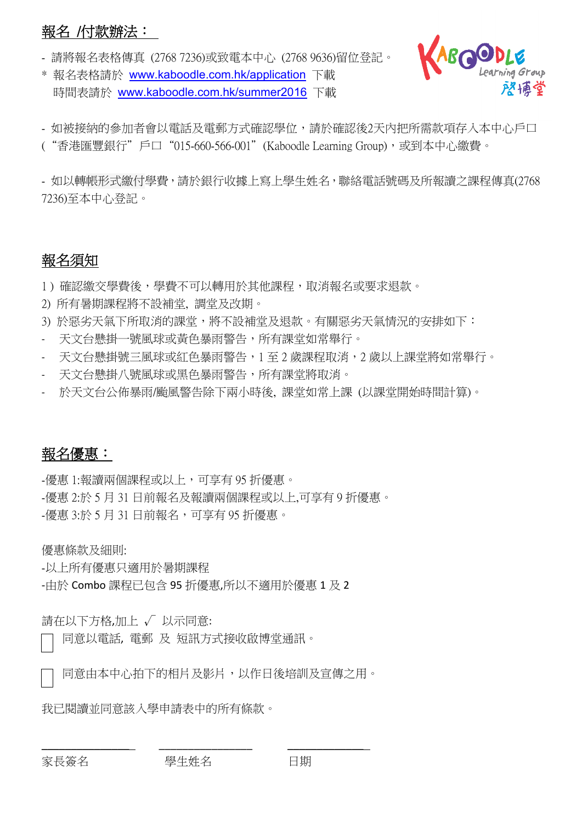# 報名 /付款辦法:

- 請將報名表格傳真 (2768 7236)或致電本中心 (2768 9636)留位登記。

\* 報名表格請於 www.kaboodle.com.hk/application 下載 時間表請於 www.kaboodle.com.hk/summer2016 下載



- 如被接納的參加者會以電話及電郵方式確認學位,請於確認後2天內把所需款項存入本中心戶口 ("香港匯豐銀行"戶口"015-660-566-001"(Kaboodle Learning Group),或到本中心繳費。

- 如以轉帳形式繳付學費,請於銀行收據上寫上學生姓名,聯絡電話號碼及所報讀之課程傳真(2768 7236)至本中心登記。

# 報名須知

1) 確認繳交學費後,學費不可以轉用於其他課程,取消報名或要求退款。

- 2) 所有暑期課程將不設補堂, 調堂及改期。
- 3) 於惡劣天氣下所取消的課堂,將不設補堂及退款。有關惡劣天氣情況的安排如下:
- 天文台懸掛一號風球或黃色暴雨警告,所有課堂如常舉行。
- 天文台懸掛號三風球或紅色暴雨警告,1 至 2 歲課程取消,2 歲以上課堂將如常舉行。
- 天文台懸掛八號風球或黑色暴雨警告,所有課堂將取消。
- 於天文台公佈暴雨/颱風警告除下兩小時後, 課堂如常上課 (以課堂開始時間計算)。

# 報名優惠:

-優惠 1:報讀兩個課程或以上,可享有 95 折優惠。 -優惠 2:於 5 月 31 日前報名及報讀兩個課程或以上,可享有 9 折優惠。 -優惠 3:於 5 月 31 日前報名,可享有 95 折優惠。

優惠條款及細則:

-以上所有優惠只適用於暑期課程

-由於 Combo 課程已包含 95 折優惠,所以不適用於優惠 1 及 2

請在以下方格,加上 √ 以示同意:

同意以電話, 電郵 及 短訊方式接收啟博堂通訊。

同意由本中心拍下的相片及影片,以作日後培訓及宣傳之用。

我已閱讀並同意該入學申請表中的所有條款。

\_\_\_\_\_\_\_\_\_\_\_\_\_\_\_ \_\_\_\_\_\_\_\_\_\_\_\_\_\_\_\_ \_\_\_\_\_\_\_\_\_\_\_\_\_